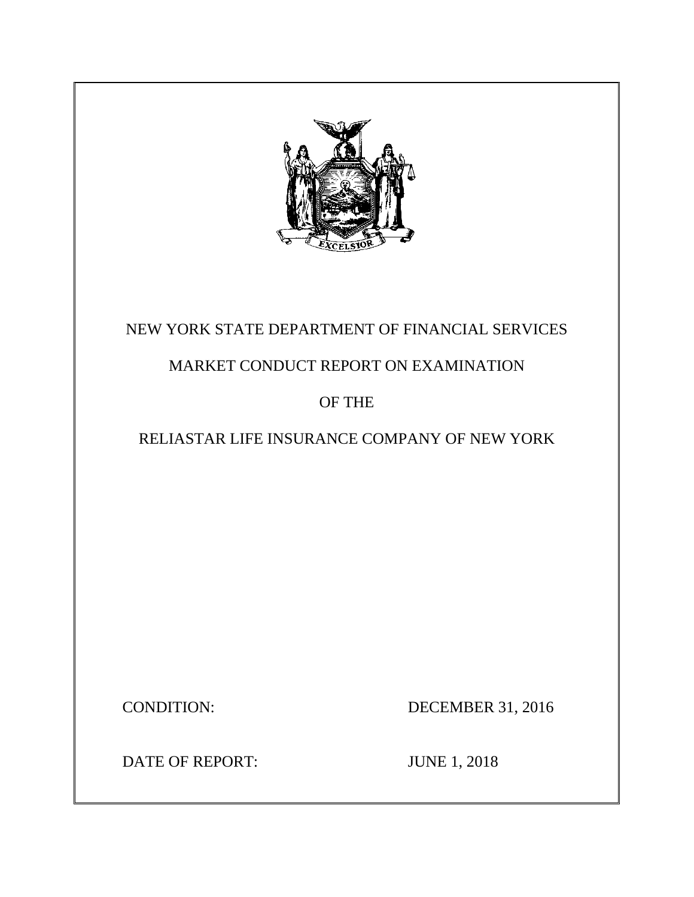

# NEW YORK STATE DEPARTMENT OF FINANCIAL SERVICES

# MARKET CONDUCT REPORT ON EXAMINATION

# OF THE

# RELIASTAR LIFE INSURANCE COMPANY OF NEW YORK

CONDITION: DECEMBER 31, 2016

DATE OF REPORT: JUNE 1, 2018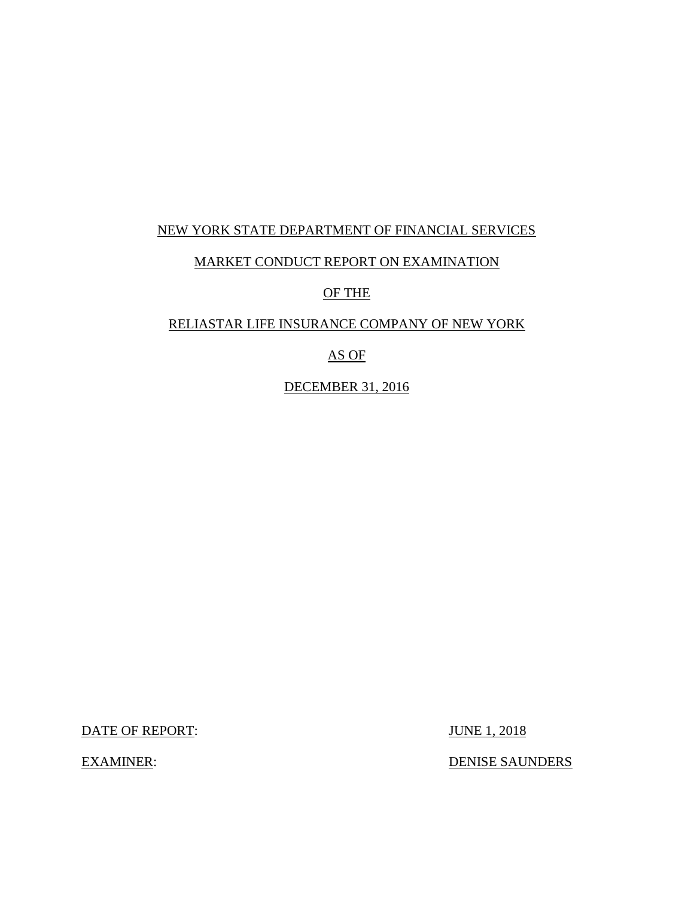### NEW YORK STATE DEPARTMENT OF FINANCIAL SERVICES

### MARKET CONDUCT REPORT ON EXAMINATION

OF THE

### RELIASTAR LIFE INSURANCE COMPANY OF NEW YORK

### AS OF

DECEMBER 31, 2016

DATE OF REPORT: JUNE 1, 2018

EXAMINER: DENISE SAUNDERS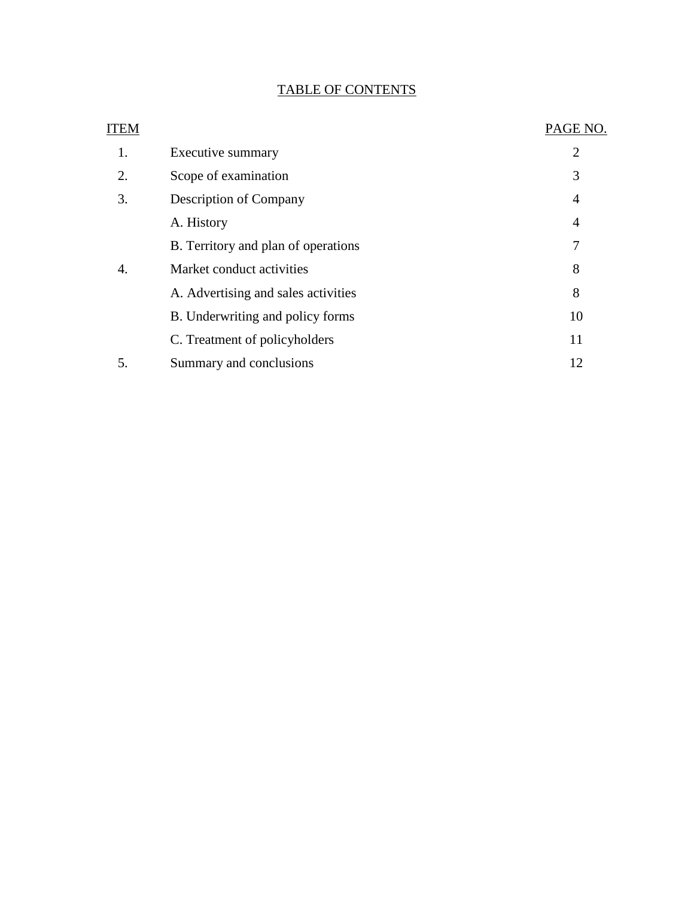# TABLE OF CONTENTS

| <b>ITEM</b> |                                     | PAGE NO. |
|-------------|-------------------------------------|----------|
| 1.          | Executive summary                   | 2        |
| 2.          | Scope of examination                | 3        |
| 3.          | <b>Description of Company</b>       | 4        |
|             | A. History                          | 4        |
|             | B. Territory and plan of operations | 7        |
| 4.          | Market conduct activities           | 8        |
|             | A. Advertising and sales activities | 8        |
|             | B. Underwriting and policy forms    | 10       |
|             | C. Treatment of policyholders       | 11       |
| 5.          | Summary and conclusions             | 12       |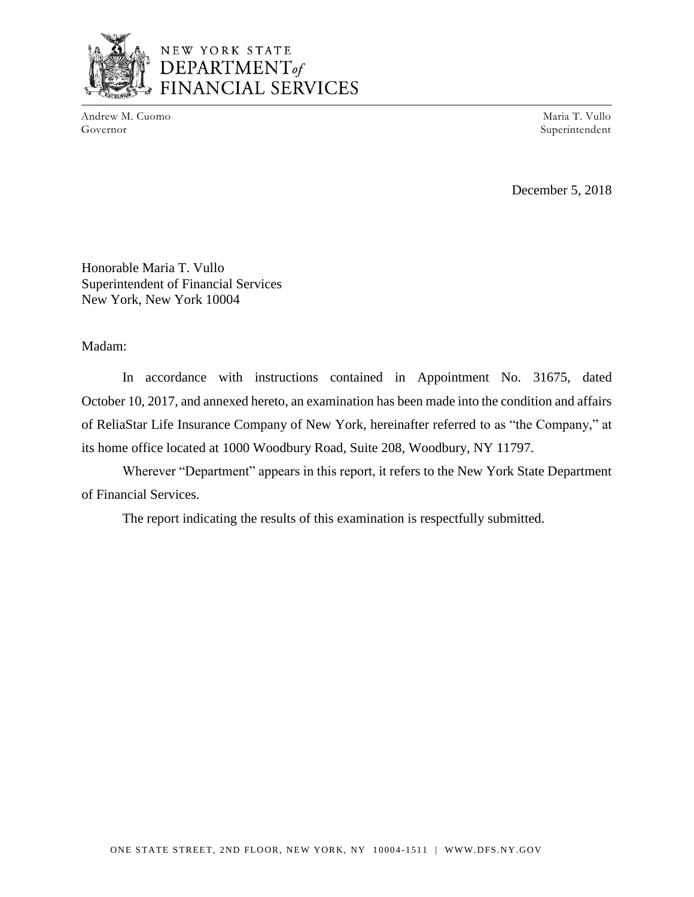

# NEW YORK STATE DEPARTMENT<sub>of</sub> FINANCIAL SERVICES

Andrew M. Cuomo Governor

Maria T. Vullo Superintendent

December 5, 2018

Honorable Maria T. Vullo Superintendent of Financial Services New York, New York 10004

#### Madam:

In accordance with instructions contained in Appointment No. 31675, dated October 10, 2017, and annexed hereto, an examination has been made into the condition and affairs of ReliaStar Life Insurance Company of New York, hereinafter referred to as "the Company," at its home office located at 1000 Woodbury Road, Suite 208, Woodbury, NY 11797.

Wherever "Department" appears in this report, it refers to the New York State Department of Financial Services.

The report indicating the results of this examination is respectfully submitted.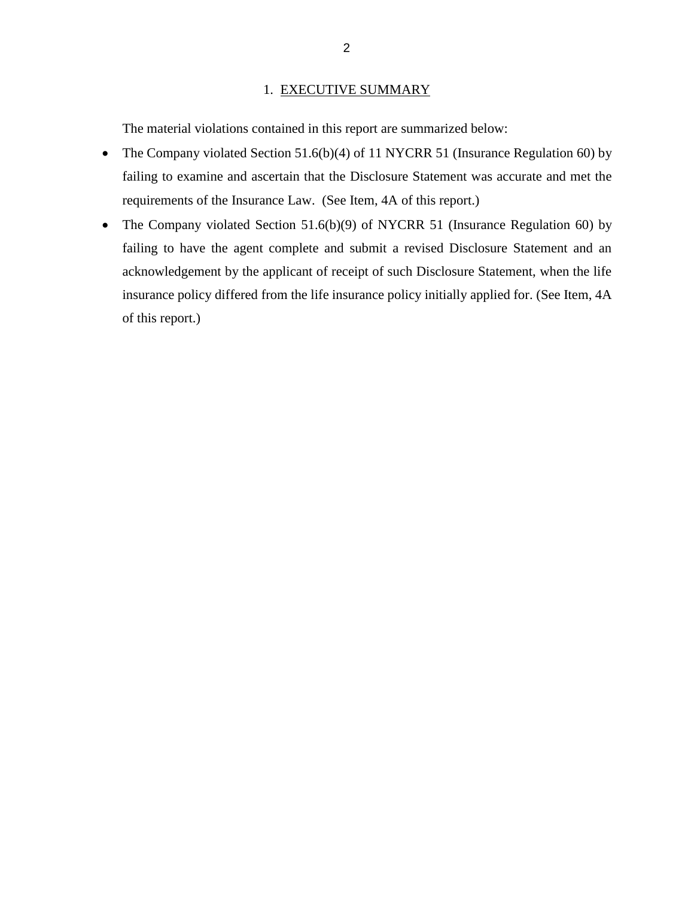#### 1. EXECUTIVE SUMMARY

The material violations contained in this report are summarized below:

- The Company violated Section 51.6(b)(4) of 11 NYCRR 51 (Insurance Regulation 60) by failing to examine and ascertain that the Disclosure Statement was accurate and met the requirements of the Insurance Law. (See Item, 4A of this report.)
- The Company violated Section 51.6(b)(9) of NYCRR 51 (Insurance Regulation 60) by failing to have the agent complete and submit a revised Disclosure Statement and an acknowledgement by the applicant of receipt of such Disclosure Statement, when the life insurance policy differed from the life insurance policy initially applied for. (See Item, 4A of this report.)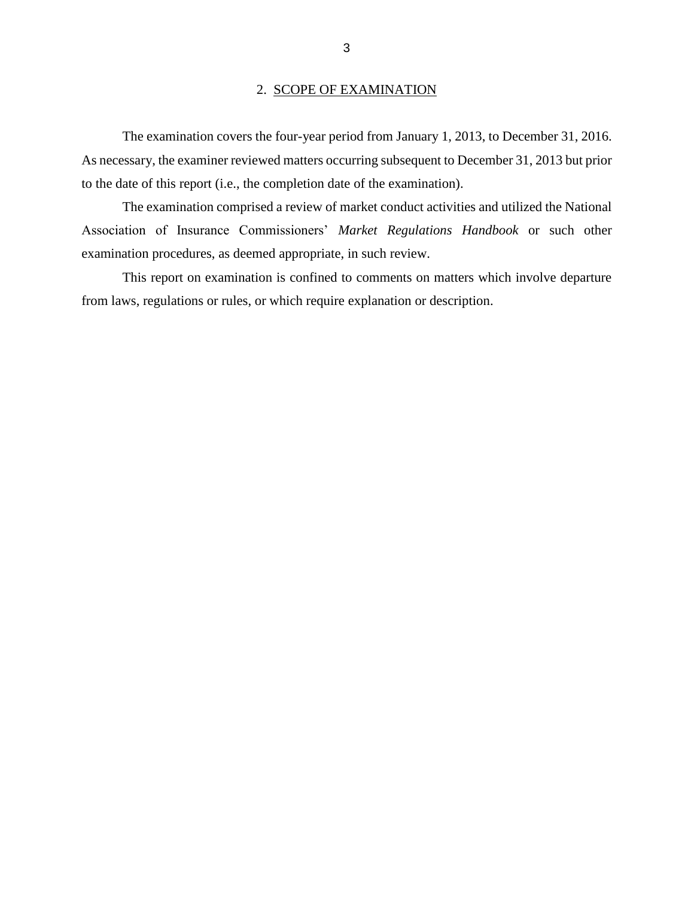#### 2. SCOPE OF EXAMINATION

The examination covers the four-year period from January 1, 2013, to December 31, 2016. As necessary, the examiner reviewed matters occurring subsequent to December 31, 2013 but prior to the date of this report (i.e., the completion date of the examination).

The examination comprised a review of market conduct activities and utilized the National Association of Insurance Commissioners' *Market Regulations Handbook* or such other examination procedures, as deemed appropriate, in such review.

This report on examination is confined to comments on matters which involve departure from laws, regulations or rules, or which require explanation or description.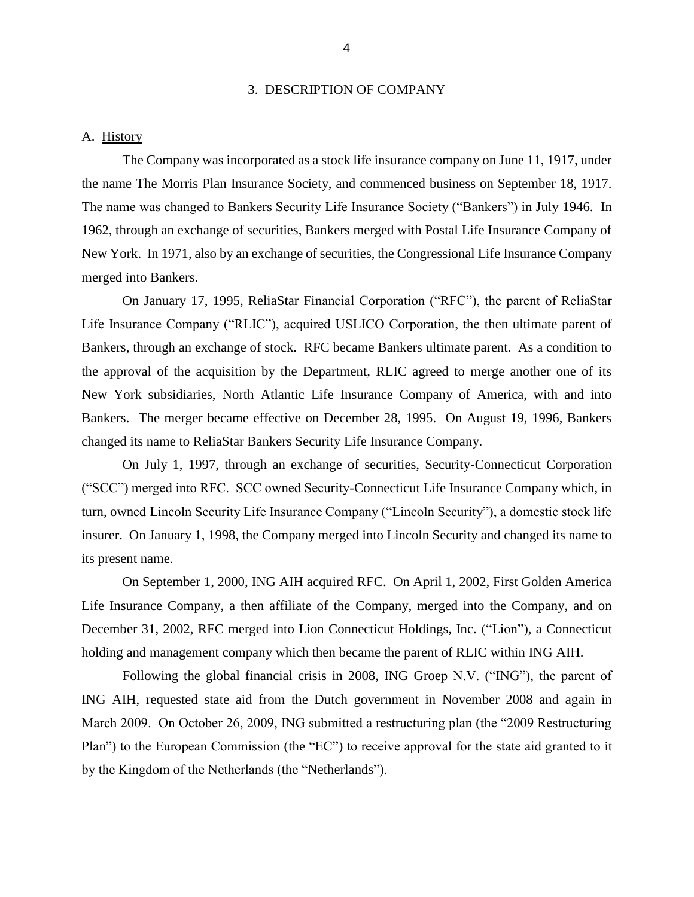#### 3. DESCRIPTION OF COMPANY

#### A. History

The Company was incorporated as a stock life insurance company on June 11, 1917, under the name The Morris Plan Insurance Society, and commenced business on September 18, 1917. The name was changed to Bankers Security Life Insurance Society ("Bankers") in July 1946. In 1962, through an exchange of securities, Bankers merged with Postal Life Insurance Company of New York. In 1971, also by an exchange of securities, the Congressional Life Insurance Company merged into Bankers.

On January 17, 1995, ReliaStar Financial Corporation ("RFC"), the parent of ReliaStar Life Insurance Company ("RLIC"), acquired USLICO Corporation, the then ultimate parent of Bankers, through an exchange of stock. RFC became Bankers ultimate parent. As a condition to the approval of the acquisition by the Department, RLIC agreed to merge another one of its New York subsidiaries, North Atlantic Life Insurance Company of America, with and into Bankers. The merger became effective on December 28, 1995. On August 19, 1996, Bankers changed its name to ReliaStar Bankers Security Life Insurance Company.

On July 1, 1997, through an exchange of securities, Security-Connecticut Corporation ("SCC") merged into RFC. SCC owned Security-Connecticut Life Insurance Company which, in turn, owned Lincoln Security Life Insurance Company ("Lincoln Security"), a domestic stock life insurer. On January 1, 1998, the Company merged into Lincoln Security and changed its name to its present name.

On September 1, 2000, ING AIH acquired RFC. On April 1, 2002, First Golden America Life Insurance Company, a then affiliate of the Company, merged into the Company, and on December 31, 2002, RFC merged into Lion Connecticut Holdings, Inc. ("Lion"), a Connecticut holding and management company which then became the parent of RLIC within ING AIH.

Following the global financial crisis in 2008, ING Groep N.V. ("ING"), the parent of ING AIH, requested state aid from the Dutch government in November 2008 and again in March 2009. On October 26, 2009, ING submitted a restructuring plan (the "2009 Restructuring Plan") to the European Commission (the "EC") to receive approval for the state aid granted to it by the Kingdom of the Netherlands (the "Netherlands").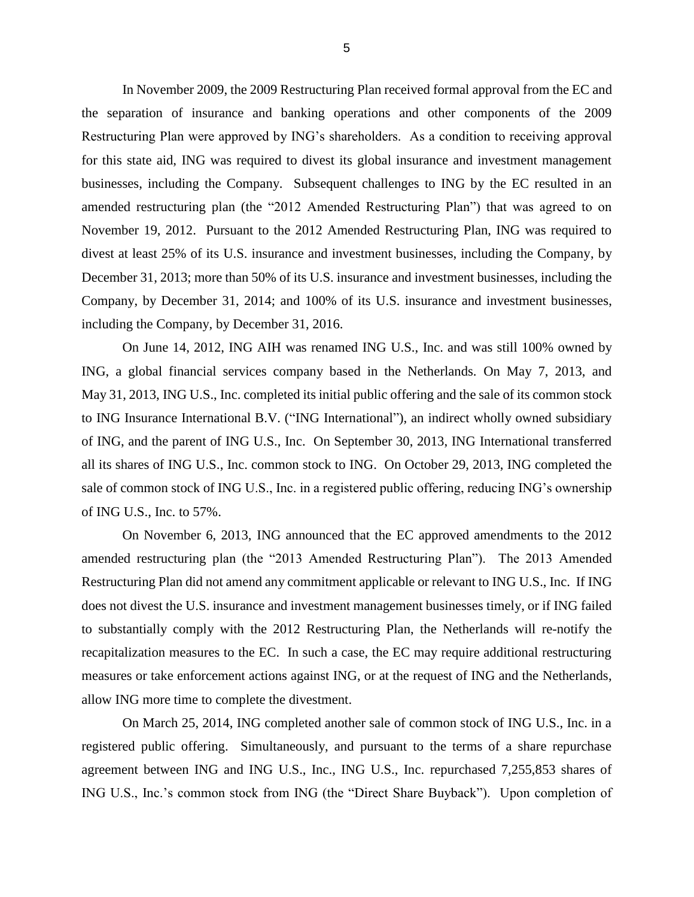In November 2009, the 2009 Restructuring Plan received formal approval from the EC and the separation of insurance and banking operations and other components of the 2009 Restructuring Plan were approved by ING's shareholders. As a condition to receiving approval for this state aid, ING was required to divest its global insurance and investment management businesses, including the Company. Subsequent challenges to ING by the EC resulted in an amended restructuring plan (the "2012 Amended Restructuring Plan") that was agreed to on November 19, 2012. Pursuant to the 2012 Amended Restructuring Plan, ING was required to divest at least 25% of its U.S. insurance and investment businesses, including the Company, by December 31, 2013; more than 50% of its U.S. insurance and investment businesses, including the Company, by December 31, 2014; and 100% of its U.S. insurance and investment businesses, including the Company, by December 31, 2016.

On June 14, 2012, ING AIH was renamed ING U.S., Inc. and was still 100% owned by ING, a global financial services company based in the Netherlands. On May 7, 2013, and May 31, 2013, ING U.S., Inc. completed its initial public offering and the sale of its common stock to ING Insurance International B.V. ("ING International"), an indirect wholly owned subsidiary of ING, and the parent of ING U.S., Inc. On September 30, 2013, ING International transferred all its shares of ING U.S., Inc. common stock to ING. On October 29, 2013, ING completed the sale of common stock of ING U.S., Inc. in a registered public offering, reducing ING's ownership of ING U.S., Inc. to 57%.

On November 6, 2013, ING announced that the EC approved amendments to the 2012 amended restructuring plan (the "2013 Amended Restructuring Plan"). The 2013 Amended Restructuring Plan did not amend any commitment applicable or relevant to ING U.S., Inc. If ING does not divest the U.S. insurance and investment management businesses timely, or if ING failed to substantially comply with the 2012 Restructuring Plan, the Netherlands will re-notify the recapitalization measures to the EC. In such a case, the EC may require additional restructuring measures or take enforcement actions against ING, or at the request of ING and the Netherlands, allow ING more time to complete the divestment.

On March 25, 2014, ING completed another sale of common stock of ING U.S., Inc. in a registered public offering. Simultaneously, and pursuant to the terms of a share repurchase agreement between ING and ING U.S., Inc., ING U.S., Inc. repurchased 7,255,853 shares of ING U.S., Inc.'s common stock from ING (the "Direct Share Buyback"). Upon completion of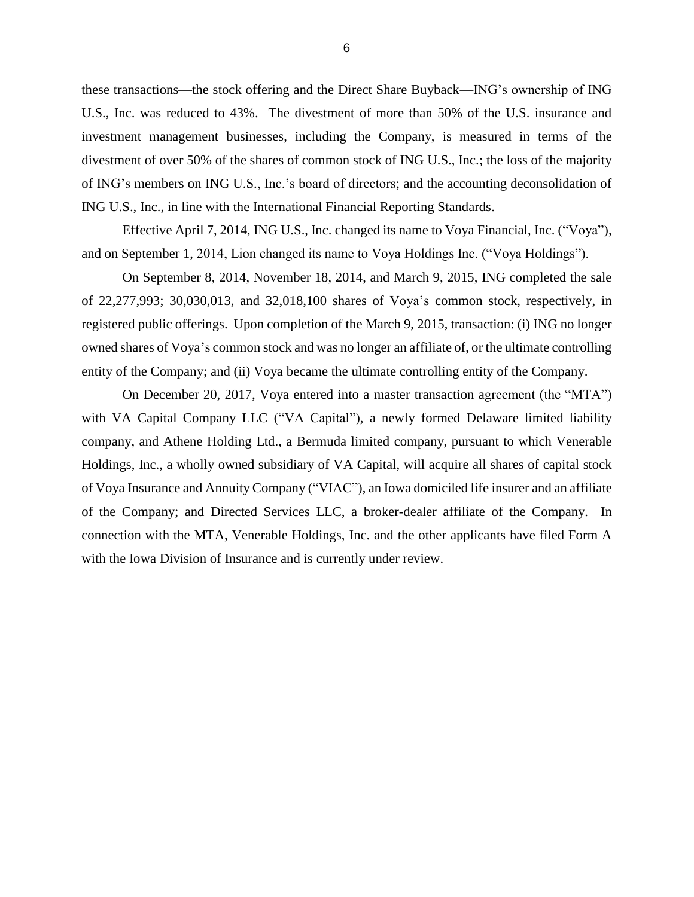these transactions—the stock offering and the Direct Share Buyback—ING's ownership of ING U.S., Inc. was reduced to 43%. The divestment of more than 50% of the U.S. insurance and investment management businesses, including the Company, is measured in terms of the divestment of over 50% of the shares of common stock of ING U.S., Inc.; the loss of the majority of ING's members on ING U.S., Inc.'s board of directors; and the accounting deconsolidation of ING U.S., Inc., in line with the International Financial Reporting Standards.

Effective April 7, 2014, ING U.S., Inc. changed its name to Voya Financial, Inc. ("Voya"), and on September 1, 2014, Lion changed its name to Voya Holdings Inc. ("Voya Holdings").

On September 8, 2014, November 18, 2014, and March 9, 2015, ING completed the sale of 22,277,993; 30,030,013, and 32,018,100 shares of Voya's common stock, respectively, in registered public offerings. Upon completion of the March 9, 2015, transaction: (i) ING no longer owned shares of Voya's common stock and was no longer an affiliate of, or the ultimate controlling entity of the Company; and (ii) Voya became the ultimate controlling entity of the Company.

On December 20, 2017, Voya entered into a master transaction agreement (the "MTA") with VA Capital Company LLC ("VA Capital"), a newly formed Delaware limited liability company, and Athene Holding Ltd., a Bermuda limited company, pursuant to which Venerable Holdings, Inc., a wholly owned subsidiary of VA Capital, will acquire all shares of capital stock of Voya Insurance and Annuity Company ("VIAC"), an Iowa domiciled life insurer and an affiliate of the Company; and Directed Services LLC, a broker-dealer affiliate of the Company. In connection with the MTA, Venerable Holdings, Inc. and the other applicants have filed Form A with the Iowa Division of Insurance and is currently under review.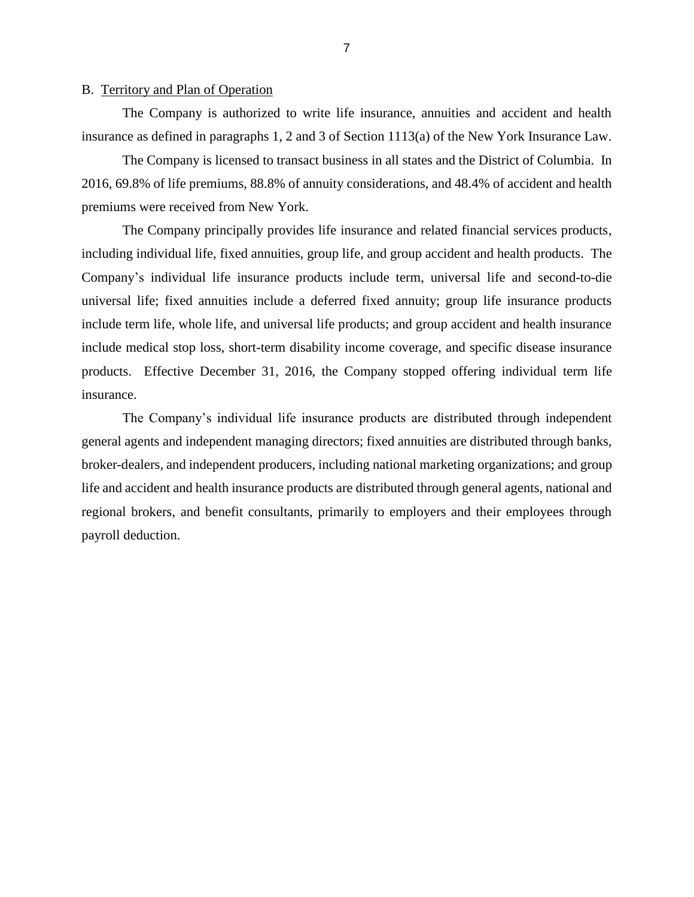### B. Territory and Plan of Operation

The Company is authorized to write life insurance, annuities and accident and health insurance as defined in paragraphs 1, 2 and 3 of Section 1113(a) of the New York Insurance Law.

The Company is licensed to transact business in all states and the District of Columbia. In 2016, 69.8% of life premiums, 88.8% of annuity considerations, and 48.4% of accident and health premiums were received from New York.

The Company principally provides life insurance and related financial services products, including individual life, fixed annuities, group life, and group accident and health products. The Company's individual life insurance products include term, universal life and second-to-die universal life; fixed annuities include a deferred fixed annuity; group life insurance products include term life, whole life, and universal life products; and group accident and health insurance include medical stop loss, short-term disability income coverage, and specific disease insurance products. Effective December 31, 2016, the Company stopped offering individual term life insurance.

The Company's individual life insurance products are distributed through independent general agents and independent managing directors; fixed annuities are distributed through banks, broker-dealers, and independent producers, including national marketing organizations; and group life and accident and health insurance products are distributed through general agents, national and regional brokers, and benefit consultants, primarily to employers and their employees through payroll deduction.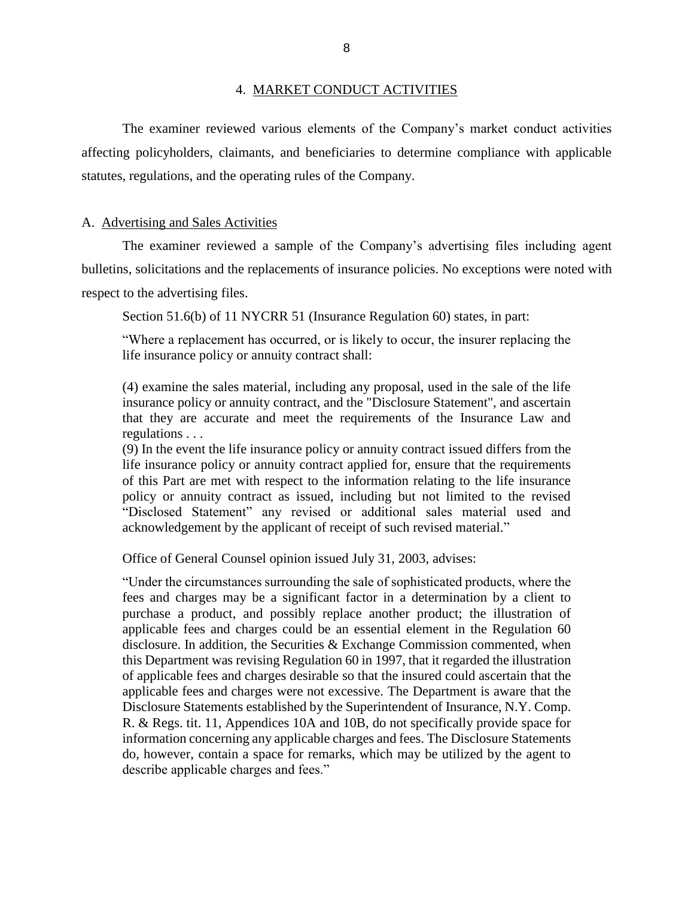#### 4. MARKET CONDUCT ACTIVITIES

The examiner reviewed various elements of the Company's market conduct activities affecting policyholders, claimants, and beneficiaries to determine compliance with applicable statutes, regulations, and the operating rules of the Company.

#### A. Advertising and Sales Activities

The examiner reviewed a sample of the Company's advertising files including agent bulletins, solicitations and the replacements of insurance policies. No exceptions were noted with respect to the advertising files.

Section 51.6(b) of 11 NYCRR 51 (Insurance Regulation 60) states, in part:

"Where a replacement has occurred, or is likely to occur, the insurer replacing the life insurance policy or annuity contract shall:

(4) examine the sales material, including any proposal, used in the sale of the life insurance policy or annuity contract, and the "Disclosure Statement", and ascertain that they are accurate and meet the requirements of the Insurance Law and regulations . . .

(9) In the event the life insurance policy or annuity contract issued differs from the life insurance policy or annuity contract applied for, ensure that the requirements of this Part are met with respect to the information relating to the life insurance policy or annuity contract as issued, including but not limited to the revised "Disclosed Statement" any revised or additional sales material used and acknowledgement by the applicant of receipt of such revised material."

Office of General Counsel opinion issued July 31, 2003, advises:

"Under the circumstances surrounding the sale of sophisticated products, where the fees and charges may be a significant factor in a determination by a client to purchase a product, and possibly replace another product; the illustration of applicable fees and charges could be an essential element in the Regulation 60 disclosure. In addition, the Securities & Exchange Commission commented, when this Department was revising Regulation 60 in 1997, that it regarded the illustration of applicable fees and charges desirable so that the insured could ascertain that the applicable fees and charges were not excessive. The Department is aware that the Disclosure Statements established by the Superintendent of Insurance, N.Y. Comp. R. & Regs. tit. 11, Appendices 10A and 10B, do not specifically provide space for information concerning any applicable charges and fees. The Disclosure Statements do, however, contain a space for remarks, which may be utilized by the agent to describe applicable charges and fees."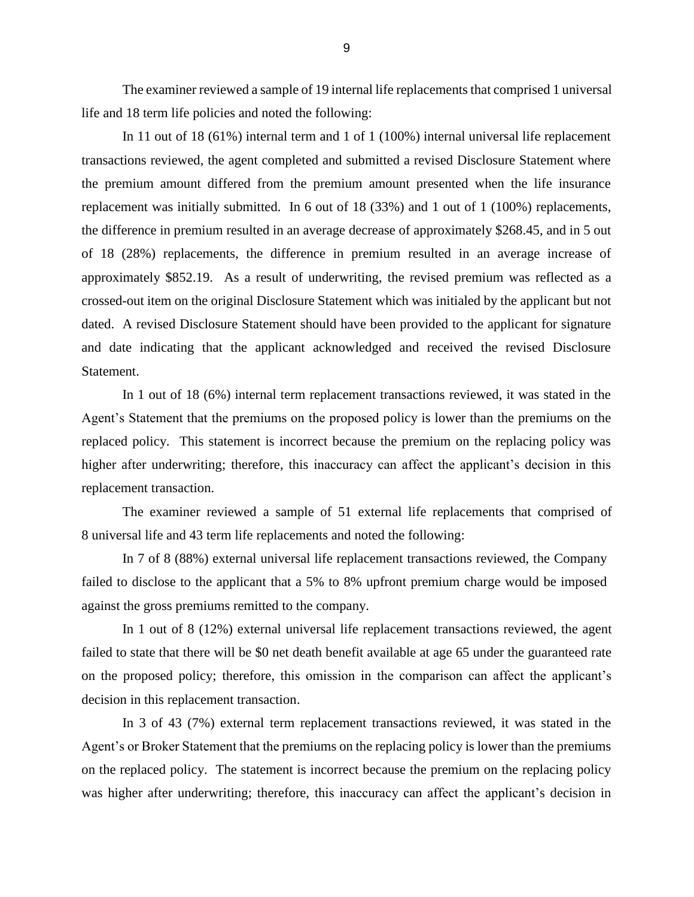The examiner reviewed a sample of 19 internal life replacements that comprised 1 universal life and 18 term life policies and noted the following:

In 11 out of 18 (61%) internal term and 1 of 1 (100%) internal universal life replacement transactions reviewed, the agent completed and submitted a revised Disclosure Statement where the premium amount differed from the premium amount presented when the life insurance replacement was initially submitted. In 6 out of 18 (33%) and 1 out of 1 (100%) replacements, the difference in premium resulted in an average decrease of approximately \$268.45, and in 5 out of 18 (28%) replacements, the difference in premium resulted in an average increase of approximately \$852.19. As a result of underwriting, the revised premium was reflected as a crossed-out item on the original Disclosure Statement which was initialed by the applicant but not dated. A revised Disclosure Statement should have been provided to the applicant for signature and date indicating that the applicant acknowledged and received the revised Disclosure Statement.

In 1 out of 18 (6%) internal term replacement transactions reviewed, it was stated in the Agent's Statement that the premiums on the proposed policy is lower than the premiums on the replaced policy. This statement is incorrect because the premium on the replacing policy was higher after underwriting; therefore, this inaccuracy can affect the applicant's decision in this replacement transaction.

The examiner reviewed a sample of 51 external life replacements that comprised of 8 universal life and 43 term life replacements and noted the following:

In 7 of 8 (88%) external universal life replacement transactions reviewed, the Company failed to disclose to the applicant that a 5% to 8% upfront premium charge would be imposed against the gross premiums remitted to the company.

In 1 out of 8 (12%) external universal life replacement transactions reviewed, the agent failed to state that there will be \$0 net death benefit available at age 65 under the guaranteed rate on the proposed policy; therefore, this omission in the comparison can affect the applicant's decision in this replacement transaction.

In 3 of 43 (7%) external term replacement transactions reviewed, it was stated in the Agent's or Broker Statement that the premiums on the replacing policy is lower than the premiums on the replaced policy. The statement is incorrect because the premium on the replacing policy was higher after underwriting; therefore, this inaccuracy can affect the applicant's decision in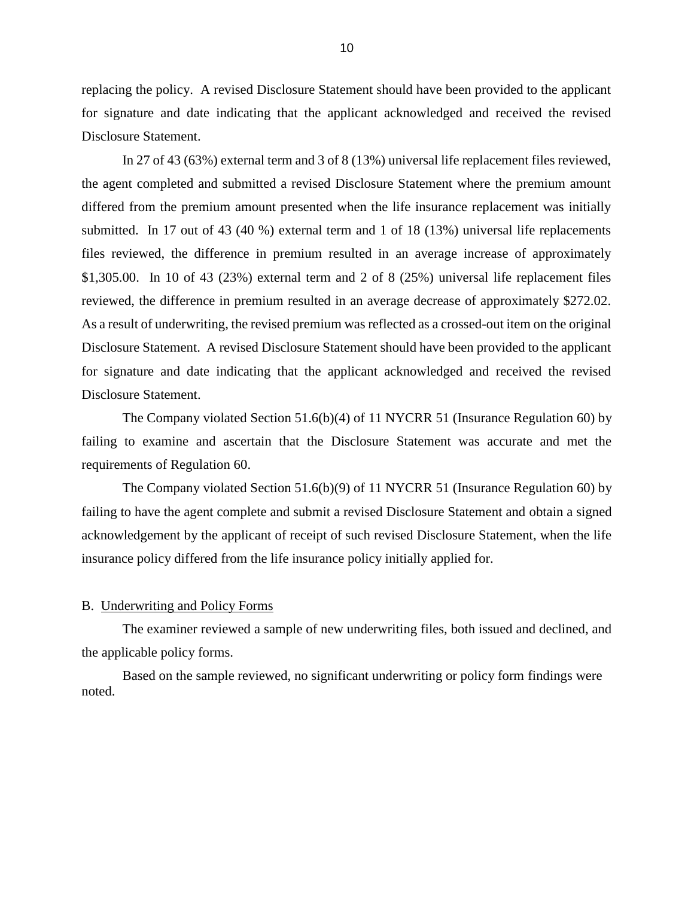replacing the policy. A revised Disclosure Statement should have been provided to the applicant for signature and date indicating that the applicant acknowledged and received the revised Disclosure Statement.

In 27 of 43 (63%) external term and 3 of 8 (13%) universal life replacement files reviewed, the agent completed and submitted a revised Disclosure Statement where the premium amount differed from the premium amount presented when the life insurance replacement was initially submitted. In 17 out of 43 (40 %) external term and 1 of 18 (13%) universal life replacements files reviewed, the difference in premium resulted in an average increase of approximately \$1,305.00. In 10 of 43 (23%) external term and 2 of 8 (25%) universal life replacement files reviewed, the difference in premium resulted in an average decrease of approximately \$272.02. As a result of underwriting, the revised premium was reflected as a crossed-out item on the original Disclosure Statement. A revised Disclosure Statement should have been provided to the applicant for signature and date indicating that the applicant acknowledged and received the revised Disclosure Statement.

The Company violated Section 51.6(b)(4) of 11 NYCRR 51 (Insurance Regulation 60) by failing to examine and ascertain that the Disclosure Statement was accurate and met the requirements of Regulation 60.

The Company violated Section 51.6(b)(9) of 11 NYCRR 51 (Insurance Regulation 60) by failing to have the agent complete and submit a revised Disclosure Statement and obtain a signed acknowledgement by the applicant of receipt of such revised Disclosure Statement, when the life insurance policy differed from the life insurance policy initially applied for.

#### B. Underwriting and Policy Forms

The examiner reviewed a sample of new underwriting files, both issued and declined, and the applicable policy forms.

Based on the sample reviewed, no significant underwriting or policy form findings were noted.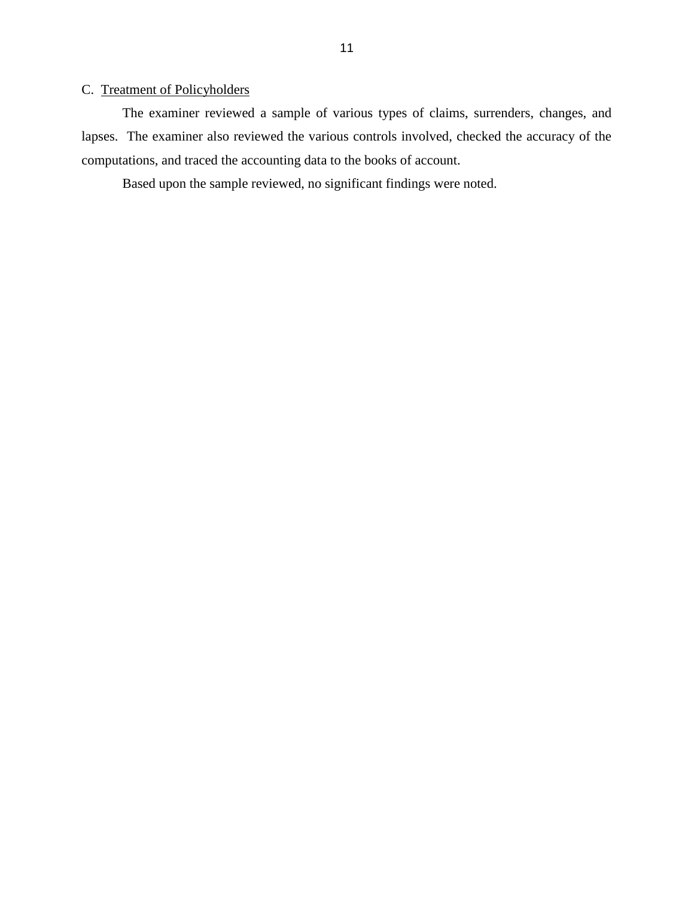## C. Treatment of Policyholders

The examiner reviewed a sample of various types of claims, surrenders, changes, and lapses. The examiner also reviewed the various controls involved, checked the accuracy of the computations, and traced the accounting data to the books of account.

Based upon the sample reviewed, no significant findings were noted.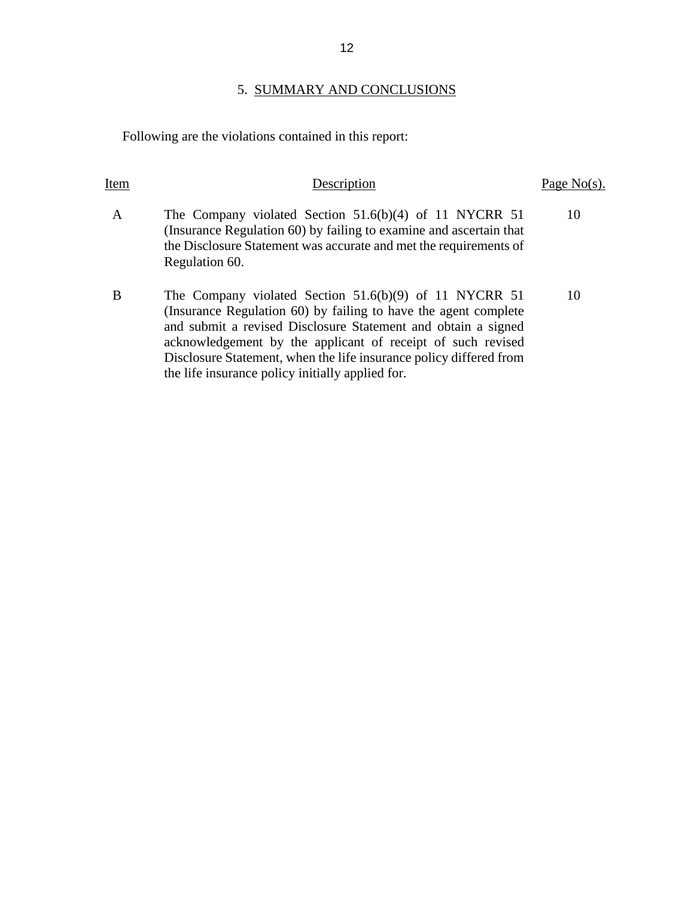# 5. SUMMARY AND CONCLUSIONS

Following are the violations contained in this report:

| Item | Description                                                                                                                                                                                                                                                                                                                                                                         | Page No(s). |
|------|-------------------------------------------------------------------------------------------------------------------------------------------------------------------------------------------------------------------------------------------------------------------------------------------------------------------------------------------------------------------------------------|-------------|
| A    | The Company violated Section $51.6(b)(4)$ of 11 NYCRR 51<br>(Insurance Regulation 60) by failing to examine and ascertain that<br>the Disclosure Statement was accurate and met the requirements of<br>Regulation 60.                                                                                                                                                               | 10          |
| B    | The Company violated Section 51.6(b)(9) of 11 NYCRR 51<br>(Insurance Regulation 60) by failing to have the agent complete<br>and submit a revised Disclosure Statement and obtain a signed<br>acknowledgement by the applicant of receipt of such revised<br>Disclosure Statement, when the life insurance policy differed from<br>the life insurance policy initially applied for. | 10          |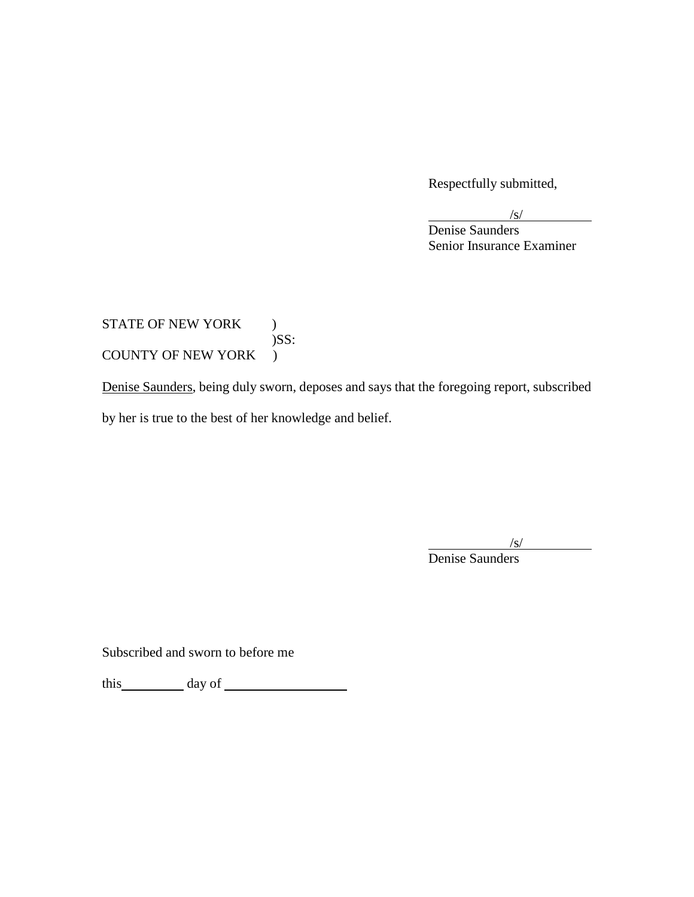Respectfully submitted,

 $\sqrt{s}$ /

Denise Saunders Senior Insurance Examiner

# STATE OF NEW YORK ) )SS: COUNTY OF NEW YORK )

Denise Saunders, being duly sworn, deposes and says that the foregoing report, subscribed by her is true to the best of her knowledge and belief.

 $\sqrt{s}$ /

Denise Saunders

Subscribed and sworn to before me

this day of